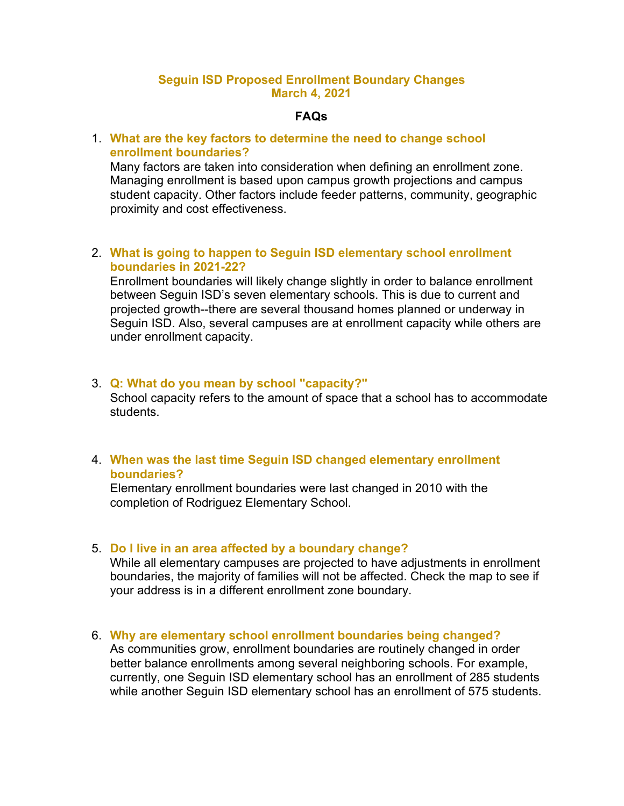### **Seguin ISD Proposed Enrollment Boundary Changes March 4, 2021**

### **FAQs**

# 1. **What are the key factors to determine the need to change school enrollment boundaries?**

Many factors are taken into consideration when defining an enrollment zone. Managing enrollment is based upon campus growth projections and campus student capacity. Other factors include feeder patterns, community, geographic proximity and cost effectiveness.

### 2. **What is going to happen to Seguin ISD elementary school enrollment boundaries in 2021-22?**

Enrollment boundaries will likely change slightly in order to balance enrollment between Seguin ISD's seven elementary schools. This is due to current and projected growth--there are several thousand homes planned or underway in Seguin ISD. Also, several campuses are at enrollment capacity while others are under enrollment capacity.

#### 3. **Q: What do you mean by school "capacity?"**

School capacity refers to the amount of space that a school has to accommodate students.

### 4. **When was the last time Seguin ISD changed elementary enrollment boundaries?**

Elementary enrollment boundaries were last changed in 2010 with the completion of Rodriguez Elementary School.

#### 5. **Do I live in an area affected by a boundary change?**

While all elementary campuses are projected to have adjustments in enrollment boundaries, the majority of families will not be affected. Check the map to see if your address is in a different enrollment zone boundary.

#### 6. **Why are elementary school enrollment boundaries being changed?**

As communities grow, enrollment boundaries are routinely changed in order better balance enrollments among several neighboring schools. For example, currently, one Seguin ISD elementary school has an enrollment of 285 students while another Seguin ISD elementary school has an enrollment of 575 students.